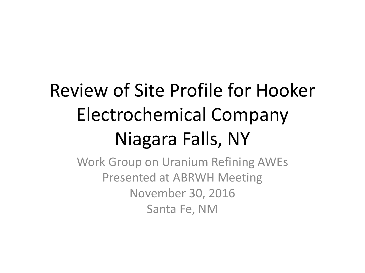#### Review of Site Profile for Hooker Electrochemical Company Niagara Falls, NY

Work Group on Uranium Refining AWEs Presented at ABRWH Meeting November 30, 2016 Santa Fe, NM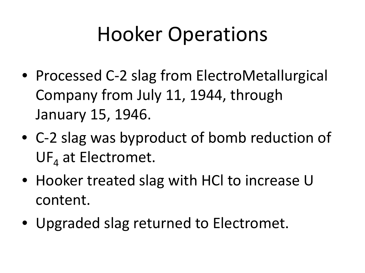# Hooker Operations

- Processed C-2 slag from ElectroMetallurgical Company from July 11, 1944, through January 15, 1946.
- C-2 slag was byproduct of bomb reduction of  $UF_4$  at Electromet.
- Hooker treated slag with HCl to increase U content.
- Upgraded slag returned to Electromet.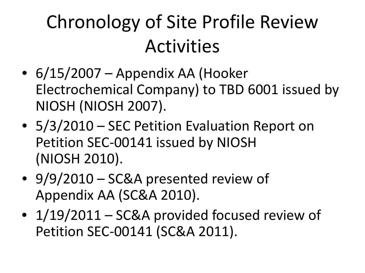#### Chronology of Site Profile Review Activities

- $\bullet$  6/15/2007 Appendix AA (Hooker Electrochemical Company) to TBD 6001 issued by NIOSH (NIOSH 2007).
- 5/3/2010 SEC Petition Evaluation Report on Petition SEC-00141 issued by NIOSH (NIOSH 2010).
- 9/9/2010 SC&A presented review of Appendix AA (SC&A 2010).
- 1/19/2011 SC&A provided focused review of Petition SEC-00141 (SC&A 2011).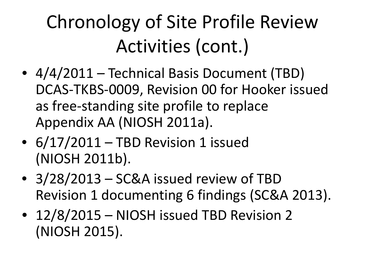## Chronology of Site Profile Review Activities (cont.)

- 4/4/2011 Technical Basis Document (TBD) DCAS-TKBS-0009, Revision 00 for Hooker issued as free-standing site profile to replace Appendix AA (NIOSH 2011a).
- 6/17/2011 TBD Revision 1 issued (NIOSH 2011b).
- 3/28/2013 SC&A issued review of TBD Revision 1 documenting 6 findings (SC&A 2013).
- 12/8/2015 NIOSH issued TBD Revision 2 (NIOSH 2015).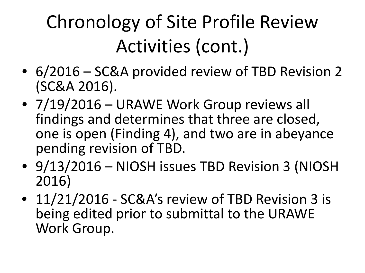# Chronology of Site Profile Review Activities (cont.)

- 6/2016 SC&A provided review of TBD Revision 2 (SC&A 2016).
- 7/19/2016 URAWE Work Group reviews all findings and determines that three are closed, one is open (Finding 4), and two are in abeyance pending revision of TBD.
- 9/13/2016 NIOSH issues TBD Revision 3 (NIOSH 2016)
- 11/21/2016 SC&A's review of TBD Revision 3 is being edited prior to submittal to the URAWE Work Group.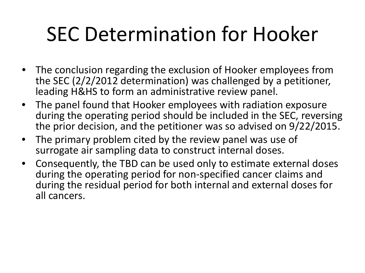#### SEC Determination for Hooker

- The conclusion regarding the exclusion of Hooker employees from the SEC (2/2/2012 determination) was challenged by a petitioner, leading H&HS to form an administrative review panel.
- The panel found that Hooker employees with radiation exposure during the operating period should be included in the SEC, reversing the prior decision, and the petitioner was so advised on 9/22/2015.
- The primary problem cited by the review panel was use of surrogate air sampling data to construct internal doses.
- Consequently, the TBD can be used only to estimate external doses during the operating period for non-specified cancer claims and during the residual period for both internal and external doses for all cancers.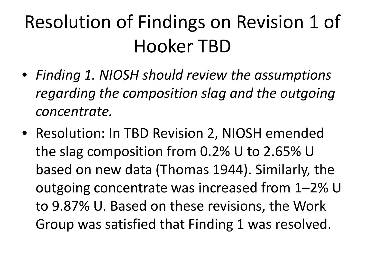- *Finding 1. NIOSH should review the assumptions regarding the composition slag and the outgoing concentrate.*
- Resolution: In TBD Revision 2, NIOSH emended the slag composition from 0.2% U to 2.65% U based on new data (Thomas 1944). Similarly, the outgoing concentrate was increased from 1–2% U to 9.87% U. Based on these revisions, the Work Group was satisfied that Finding 1 was resolved.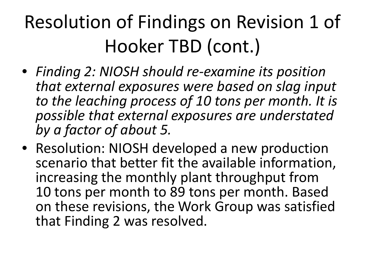- *Finding 2: NIOSH should re-examine its position that external exposures were based on slag input to the leaching process of 10 tons per month. It is possible that external exposures are understated by a factor of about 5.*
- Resolution: NIOSH developed a new production scenario that better fit the available information, increasing the monthly plant throughput from 10 tons per month to 89 tons per month. Based on these revisions, the Work Group was satisfied that Finding 2 was resolved.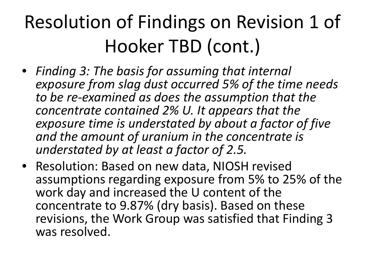- *Finding 3: The basis for assuming that internal exposure from slag dust occurred 5% of the time needs to be re-examined as does the assumption that the concentrate contained 2% U. It appears that the exposure time is understated by about a factor of five and the amount of uranium in the concentrate is understated by at least a factor of 2.5.*
- Resolution: Based on new data, NIOSH revised assumptions regarding exposure from 5% to 25% of the work day and increased the U content of the concentrate to 9.87% (dry basis). Based on these revisions, the Work Group was satisfied that Finding 3 was resolved.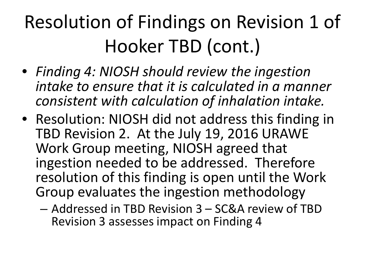- *Finding 4: NIOSH should review the ingestion intake to ensure that it is calculated in a manner consistent with calculation of inhalation intake.*
- Resolution: NIOSH did not address this finding in TBD Revision 2. At the July 19, 2016 URAWE Work Group meeting, NIOSH agreed that ingestion needed to be addressed. Therefore resolution of this finding is open until the Work Group evaluates the ingestion methodology
	- Addressed in TBD Revision 3 SC&A review of TBD Revision 3 assesses impact on Finding 4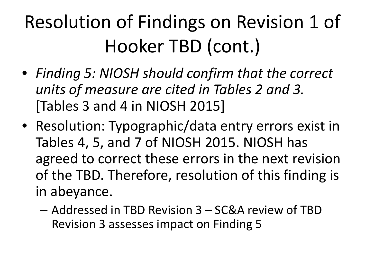- *Finding 5: NIOSH should confirm that the correct units of measure are cited in Tables 2 and 3.*  [Tables 3 and 4 in NIOSH 2015]
- Resolution: Typographic/data entry errors exist in Tables 4, 5, and 7 of NIOSH 2015. NIOSH has agreed to correct these errors in the next revision of the TBD. Therefore, resolution of this finding is in abeyance.
	- Addressed in TBD Revision 3 SC&A review of TBD Revision 3 assesses impact on Finding 5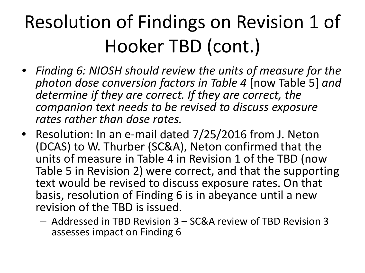- *Finding 6: NIOSH should review the units of measure for the photon dose conversion factors in Table 4* [now Table 5] *and determine if they are correct. If they are correct, the companion text needs to be revised to discuss exposure rates rather than dose rates.*
- Resolution: In an e-mail dated 7/25/2016 from J. Neton (DCAS) to W. Thurber (SC&A), Neton confirmed that the units of measure in Table 4 in Revision 1 of the TBD (now Table 5 in Revision 2) were correct, and that the supporting text would be revised to discuss exposure rates. On that basis, resolution of Finding 6 is in abeyance until a new revision of the TBD is issued.
	- Addressed in TBD Revision 3 SC&A review of TBD Revision 3 assesses impact on Finding 6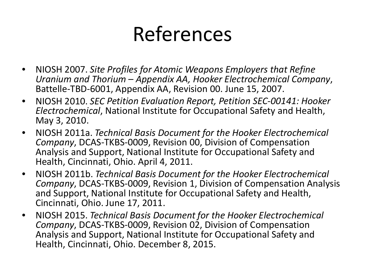#### References

- NIOSH 2007. *Site Profiles for Atomic Weapons Employers that Refine Uranium and Thorium – Appendix AA, Hooker Electrochemical Company*, Battelle-TBD-6001, Appendix AA, Revision 00. June 15, 2007.
- NIOSH 2010. *SEC Petition Evaluation Report, Petition SEC-00141: Hooker Electrochemical*, National Institute for Occupational Safety and Health, May 3, 2010.
- NIOSH 2011a. *Technical Basis Document for the Hooker Electrochemical Company*, DCAS-TKBS-0009, Revision 00, Division of Compensation Analysis and Support, National Institute for Occupational Safety and Health, Cincinnati, Ohio. April 4, 2011.
- NIOSH 2011b. *Technical Basis Document for the Hooker Electrochemical Company*, DCAS-TKBS-0009, Revision 1, Division of Compensation Analysis and Support, National Institute for Occupational Safety and Health, Cincinnati, Ohio. June 17, 2011.
- NIOSH 2015. *Technical Basis Document for the Hooker Electrochemical Company*, DCAS-TKBS-0009, Revision 02, Division of Compensation Analysis and Support, National Institute for Occupational Safety and Health, Cincinnati, Ohio. December 8, 2015.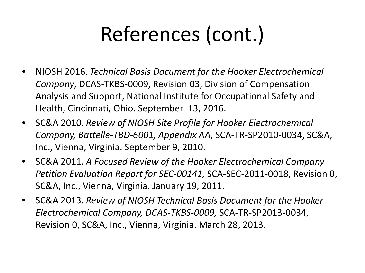# References (cont.)

- NIOSH 2016. *Technical Basis Document for the Hooker Electrochemical Company*, DCAS-TKBS-0009, Revision 03, Division of Compensation Analysis and Support, National Institute for Occupational Safety and Health, Cincinnati, Ohio. September 13, 2016.
- SC&A 2010. *Review of NIOSH Site Profile for Hooker Electrochemical Company, Battelle-TBD-6001, Appendix AA*, SCA-TR-SP2010-0034, SC&A, Inc., Vienna, Virginia. September 9, 2010.
- SC&A 2011. *A Focused Review of the Hooker Electrochemical Company Petition Evaluation Report for SEC-00141,* SCA-SEC-2011-0018, Revision 0, SC&A, Inc., Vienna, Virginia. January 19, 2011.
- SC&A 2013. *Review of NIOSH Technical Basis Document for the Hooker Electrochemical Company, DCAS-TKBS-0009,* SCA-TR-SP2013-0034, Revision 0, SC&A, Inc., Vienna, Virginia. March 28, 2013.